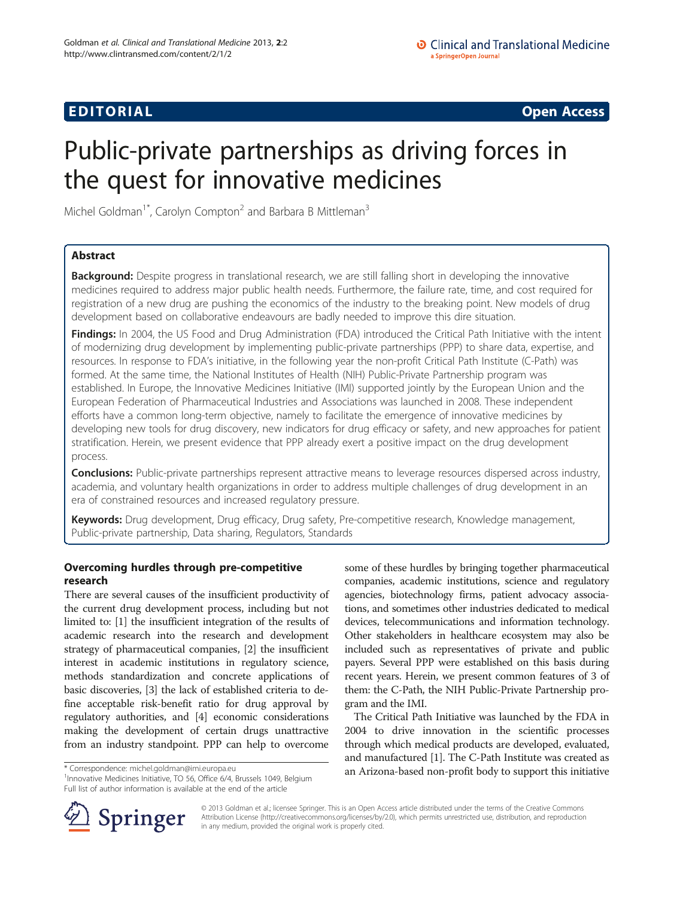# **EDITORIAL** CONTROL CONTROL CONTROL CONTROL CONTROL CONTROL CONTROL CONTROL CONTROL CONTROL CONTROL CONTROL CONTROL CONTROL CONTROL CONTROL CONTROL CONTROL CONTROL CONTROL CONTROL CONTROL CONTROL CONTROL CONTROL CONTROL CO

# Public-private partnerships as driving forces in the quest for innovative medicines

Michel Goldman<sup>1\*</sup>, Carolyn Compton<sup>2</sup> and Barbara B Mittleman<sup>3</sup>

# Abstract

Background: Despite progress in translational research, we are still falling short in developing the innovative medicines required to address major public health needs. Furthermore, the failure rate, time, and cost required for registration of a new drug are pushing the economics of the industry to the breaking point. New models of drug development based on collaborative endeavours are badly needed to improve this dire situation.

Findings: In 2004, the US Food and Drug Administration (FDA) introduced the Critical Path Initiative with the intent of modernizing drug development by implementing public-private partnerships (PPP) to share data, expertise, and resources. In response to FDA's initiative, in the following year the non-profit Critical Path Institute (C-Path) was formed. At the same time, the National Institutes of Health (NIH) Public-Private Partnership program was established. In Europe, the Innovative Medicines Initiative (IMI) supported jointly by the European Union and the European Federation of Pharmaceutical Industries and Associations was launched in 2008. These independent efforts have a common long-term objective, namely to facilitate the emergence of innovative medicines by developing new tools for drug discovery, new indicators for drug efficacy or safety, and new approaches for patient stratification. Herein, we present evidence that PPP already exert a positive impact on the drug development process.

**Conclusions:** Public-private partnerships represent attractive means to leverage resources dispersed across industry, academia, and voluntary health organizations in order to address multiple challenges of drug development in an era of constrained resources and increased regulatory pressure.

Keywords: Drug development, Drug efficacy, Drug safety, Pre-competitive research, Knowledge management, Public-private partnership, Data sharing, Regulators, Standards

# Overcoming hurdles through pre-competitive research

There are several causes of the insufficient productivity of the current drug development process, including but not limited to: [[1](#page-2-0)] the insufficient integration of the results of academic research into the research and development strategy of pharmaceutical companies, [[2](#page-2-0)] the insufficient interest in academic institutions in regulatory science, methods standardization and concrete applications of basic discoveries, [[3](#page-2-0)] the lack of established criteria to define acceptable risk-benefit ratio for drug approval by regulatory authorities, and [\[4](#page-2-0)] economic considerations making the development of certain drugs unattractive from an industry standpoint. PPP can help to overcome

<sup>1</sup> Innovative Medicines Initiative, TO 56, Office 6/4, Brussels 1049, Belgium Full list of author information is available at the end of the article

some of these hurdles by bringing together pharmaceutical companies, academic institutions, science and regulatory agencies, biotechnology firms, patient advocacy associations, and sometimes other industries dedicated to medical devices, telecommunications and information technology. Other stakeholders in healthcare ecosystem may also be included such as representatives of private and public payers. Several PPP were established on this basis during recent years. Herein, we present common features of 3 of them: the C-Path, the NIH Public-Private Partnership program and the IMI.

The Critical Path Initiative was launched by the FDA in 2004 to drive innovation in the scientific processes through which medical products are developed, evaluated, and manufactured [\[1](#page-2-0)]. The C-Path Institute was created as \* Correspondence: [michel.goldman@imi.europa.eu](mailto:michel.goldman@imi.europa.eu) **an Arizona-based non-profit body to support this initiative** 



© 2013 Goldman et al.; licensee Springer. This is an Open Access article distributed under the terms of the Creative Commons Attribution License [\(http://creativecommons.org/licenses/by/2.0\)](http://creativecommons.org/licenses/by/2.0), which permits unrestricted use, distribution, and reproduction in any medium, provided the original work is properly cited.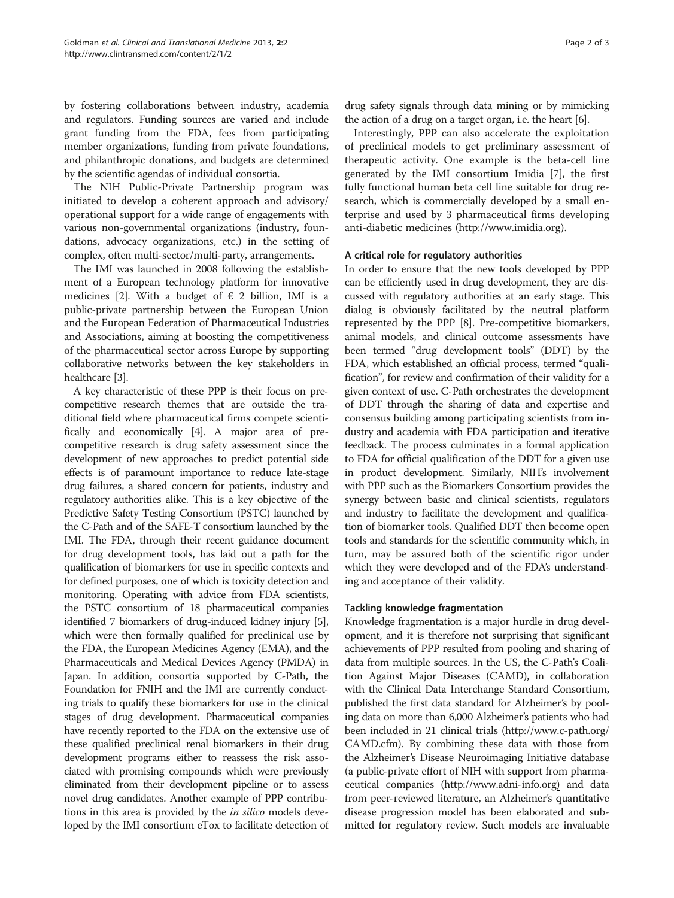by fostering collaborations between industry, academia and regulators. Funding sources are varied and include grant funding from the FDA, fees from participating member organizations, funding from private foundations, and philanthropic donations, and budgets are determined by the scientific agendas of individual consortia.

The NIH Public-Private Partnership program was initiated to develop a coherent approach and advisory/ operational support for a wide range of engagements with various non-governmental organizations (industry, foundations, advocacy organizations, etc.) in the setting of complex, often multi-sector/multi-party, arrangements.

The IMI was launched in 2008 following the establishment of a European technology platform for innovative medicines [\[2\]](#page-2-0). With a budget of  $\epsilon$  2 billion, IMI is a public-private partnership between the European Union and the European Federation of Pharmaceutical Industries and Associations, aiming at boosting the competitiveness of the pharmaceutical sector across Europe by supporting collaborative networks between the key stakeholders in healthcare [\[3](#page-2-0)].

A key characteristic of these PPP is their focus on precompetitive research themes that are outside the traditional field where pharmaceutical firms compete scientifically and economically [\[4\]](#page-2-0). A major area of precompetitive research is drug safety assessment since the development of new approaches to predict potential side effects is of paramount importance to reduce late-stage drug failures, a shared concern for patients, industry and regulatory authorities alike. This is a key objective of the Predictive Safety Testing Consortium (PSTC) launched by the C-Path and of the SAFE-T consortium launched by the IMI. The FDA, through their recent guidance document for drug development tools, has laid out a path for the qualification of biomarkers for use in specific contexts and for defined purposes, one of which is toxicity detection and monitoring. Operating with advice from FDA scientists, the PSTC consortium of 18 pharmaceutical companies identified 7 biomarkers of drug-induced kidney injury [[5](#page-2-0)], which were then formally qualified for preclinical use by the FDA, the European Medicines Agency (EMA), and the Pharmaceuticals and Medical Devices Agency (PMDA) in Japan. In addition, consortia supported by C-Path, the Foundation for FNIH and the IMI are currently conducting trials to qualify these biomarkers for use in the clinical stages of drug development. Pharmaceutical companies have recently reported to the FDA on the extensive use of these qualified preclinical renal biomarkers in their drug development programs either to reassess the risk associated with promising compounds which were previously eliminated from their development pipeline or to assess novel drug candidates. Another example of PPP contributions in this area is provided by the *in silico* models developed by the IMI consortium eTox to facilitate detection of

drug safety signals through data mining or by mimicking the action of a drug on a target organ, i.e. the heart [\[6](#page-2-0)].

Interestingly, PPP can also accelerate the exploitation of preclinical models to get preliminary assessment of therapeutic activity. One example is the beta-cell line generated by the IMI consortium Imidia [\[7](#page-2-0)], the first fully functional human beta cell line suitable for drug research, which is commercially developed by a small enterprise and used by 3 pharmaceutical firms developing anti-diabetic medicines ([http://www.imidia.org\)](http://www.imidia.org).

## A critical role for regulatory authorities

In order to ensure that the new tools developed by PPP can be efficiently used in drug development, they are discussed with regulatory authorities at an early stage. This dialog is obviously facilitated by the neutral platform represented by the PPP [[8](#page-2-0)]. Pre-competitive biomarkers, animal models, and clinical outcome assessments have been termed "drug development tools" (DDT) by the FDA, which established an official process, termed "qualification", for review and confirmation of their validity for a given context of use. C-Path orchestrates the development of DDT through the sharing of data and expertise and consensus building among participating scientists from industry and academia with FDA participation and iterative feedback. The process culminates in a formal application to FDA for official qualification of the DDT for a given use in product development. Similarly, NIH's involvement with PPP such as the Biomarkers Consortium provides the synergy between basic and clinical scientists, regulators and industry to facilitate the development and qualification of biomarker tools. Qualified DDT then become open tools and standards for the scientific community which, in turn, may be assured both of the scientific rigor under which they were developed and of the FDA's understanding and acceptance of their validity.

## Tackling knowledge fragmentation

Knowledge fragmentation is a major hurdle in drug development, and it is therefore not surprising that significant achievements of PPP resulted from pooling and sharing of data from multiple sources. In the US, the C-Path's Coalition Against Major Diseases (CAMD), in collaboration with the Clinical Data Interchange Standard Consortium, published the first data standard for Alzheimer's by pooling data on more than 6,000 Alzheimer's patients who had been included in 21 clinical trials ([http://www.c-path.org/](http://www.c-path.org/CAMD.cfm) [CAMD.cfm\)](http://www.c-path.org/CAMD.cfm). By combining these data with those from the Alzheimer's Disease Neuroimaging Initiative database (a public-private effort of NIH with support from pharmaceutical companies ([http://www.adni-info.org\)](http://www.adni-info.org) and data from peer-reviewed literature, an Alzheimer's quantitative disease progression model has been elaborated and submitted for regulatory review. Such models are invaluable